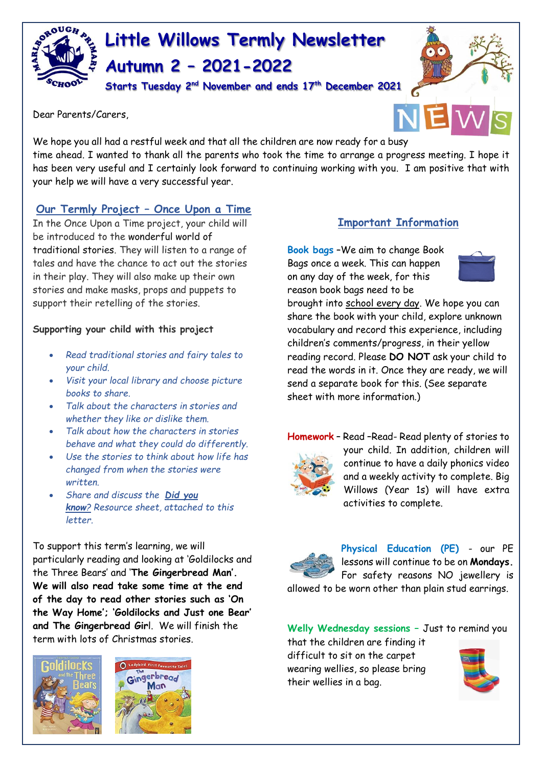

# **Little Willows Termly Newsletter Autumn 2 – 2021-2022**

**Starts Tuesday 2nd November and ends 17th December 2021**

Dear Parents/Carers,



We hope you all had a restful week and that all the children are now ready for a busy time ahead. I wanted to thank all the parents who took the time to arrange a progress meeting. I hope it has been very useful and I certainly look forward to continuing working with you. I am positive that with your help we will have a very successful year.

### **Our Termly Project – Once Upon a Time**

In the Once Upon a Time project, your child will be introduced to the wonderful world of traditional stories. They will listen to a range of tales and have the chance to act out the stories in their play. They will also make up their own stories and make masks, props and puppets to support their retelling of the stories.

#### **Supporting your child with this project**

- *Read traditional stories and fairy tales to your child.*
- *Visit your local library and choose picture books to share.*
- *Talk about the characters in stories and whether they like or dislike them.*
- *Talk about how the characters in stories behave and what they could do differently.*
- *Use the stories to think about how life has changed from when the stories were written.*
- *Share and discuss the Did you know? Resource sheet, attached to this letter.*

To support this term's learning, we will particularly reading and looking at 'Goldilocks and the Three Bears' and '**The Gingerbread Man'. We will also read take some time at the end of the day to read other stories such as 'On the Way Home'; 'Goldilocks and Just one Bear' and The Gingerbread Gir**l. We will finish the term with lots of Christmas stories.





### **Important Information**

**Book bags** –We aim to change Book Bags once a week. This can happen on any day of the week, for this reason book bags need to be



brought into school every day. We hope you can share the book with your child, explore unknown vocabulary and record this experience, including children's comments/progress, in their yellow reading record. Please **DO NOT** ask your child to read the words in it. Once they are ready, we will send a separate book for this. (See separate sheet with more information.)



**Homework** – Read –Read- Read plenty of stories to your child. In addition, children will continue to have a daily phonics video and a weekly activity to complete. Big Willows (Year 1s) will have extra activities to complete.



**Physical Education (PE)** - our PE lessons will continue to be on **Mondays.** For safety reasons NO jewellery is

allowed to be worn other than plain stud earrings.

**Welly Wednesday sessions –** Just to remind you

that the children are finding it difficult to sit on the carpet wearing wellies, so please bring their wellies in a bag.

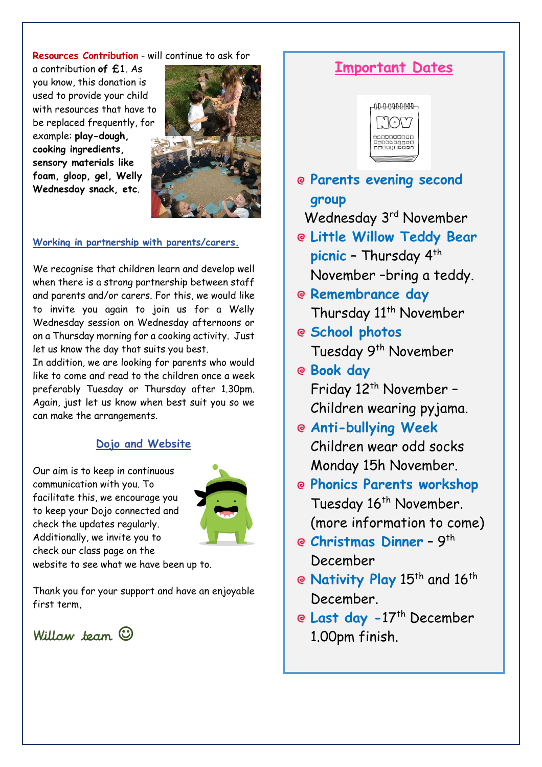#### **Resources Contribution** - will continue to ask for

a contribution **of £1**. As you know, this donation is used to provide your child with resources that have to be replaced frequently, for example: **play-dough, cooking ingredients, sensory materials like foam, gloop, gel, Welly Wednesday snack, etc**.



#### **Working in partnership with parents/carers.**

We recognise that children learn and develop well when there is a strong partnership between staff and parents and/or carers. For this, we would like to invite you again to join us for a Welly Wednesday session on Wednesday afternoons or on a Thursday morning for a cooking activity. Just let us know the day that suits you best.

In addition, we are looking for parents who would like to come and read to the children once a week preferably Tuesday or Thursday after 1.30pm. Again, just let us know when best suit you so we can make the arrangements.

### **Dojo and Website**

Our aim is to keep in continuous communication with you. To facilitate this, we encourage you to keep your Dojo connected and check the updates regularly. Additionally, we invite you to check our class page on the



website to see what we have been up to.

Thank you for your support and have an enjoyable first term,

Willow team  $\odot$ 

## **Important Dates**



**Parents evening second group**

Wednesday 3<sup>rd</sup> November

- **Little Willow Teddy Bear**  picnic - Thursday 4<sup>th</sup> November –bring a teddy.
- **Remembrance day** Thursday 11<sup>th</sup> November
- **School photos** Tuesday 9<sup>th</sup> November
- **Book day** Friday 12<sup>th</sup> November -Children wearing pyjama.
- **Anti-bullying Week** Children wear odd socks Monday 15h November.
- **Phonics Parents workshop**  Tuesday 16<sup>th</sup> November. (more information to come)
- **Christmas Dinner -** 9<sup>th</sup> December
- **@ Nativity Play** 15<sup>th</sup> and 16<sup>th</sup> December.
- **Last day -**17th December 1.00pm finish.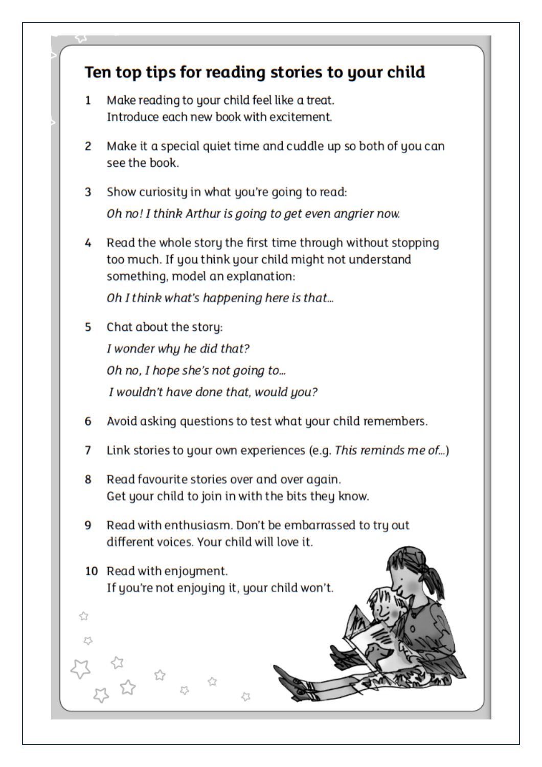# Ten top tips for reading stories to your child Make reading to your child feel like a treat. 1 Introduce each new book with excitement. Make it a special quiet time and cuddle up so both of you can 2 see the book. 3 Show curiosity in what you're going to read: Oh no! I think Arthur is going to get even angrier now. 4 Read the whole story the first time through without stopping too much. If you think your child might not understand something, model an explanation: Oh I think what's happening here is that... 5 Chat about the story: I wonder why he did that? Oh no, I hope she's not going to... I wouldn't have done that, would you? Avoid asking questions to test what your child remembers. 6 7 Link stories to your own experiences (e.g. This reminds me of...) Read favourite stories over and over again. 8 Get your child to join in with the bits they know. 9 Read with enthusiasm. Don't be embarrassed to try out different voices. Your child will love it. 10 Read with enjoyment. If you're not enjoying it, your child won't. ☆ ☆ 53